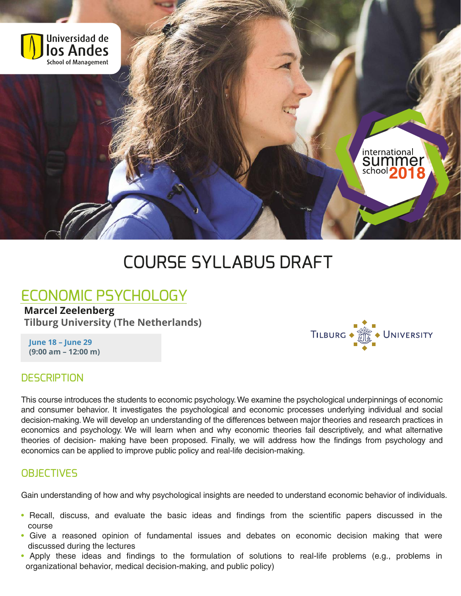

# COURSE SYLLABUS DRAFT

## ECONOMIC PSYCHOLOGY

#### **Marcel Zeelenberg**

**Tilburg University (The Netherlands)**

**June 18 – June 29 (9:00 am – 12:00 m)**



#### **DESCRIPTION**

This course introduces the students to economic psychology.We examine the psychological underpinnings of economic and consumer behavior. It investigates the psychological and economic processes underlying individual and social decision-making.We will develop an understanding of the differences between major theories and research practices in economics and psychology. We will learn when and why economic theories fail descriptively, and what alternative theories of decision- making have been proposed. Finally, we will address how the findings from psychology and economics can be applied to improve public policy and real-life decision-making.

### **OBJECTIVES**

Gain understanding of how and why psychological insights are needed to understand economic behavior of individuals.

- Recall, discuss, and evaluate the basic ideas and findings from the scientific papers discussed in the course
- Give a reasoned opinion of fundamental issues and debates on economic decision making that were discussed during the lectures
- Apply these ideas and findings to the formulation of solutions to real-life problems (e.g., problems in organizational behavior, medical decision-making, and public policy)